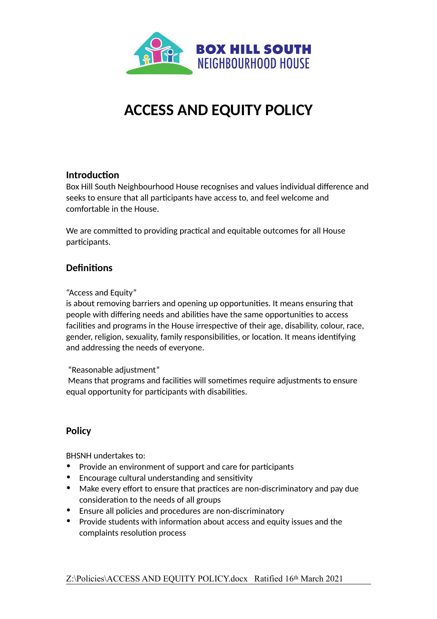

# **ACCESS AND EQUITY POLICY**

### **Introduction**

Box Hill South Neighbourhood House recognises and values individual difference and seeks to ensure that all participants have access to, and feel welcome and comfortable in the House.

We are committed to providing practical and equitable outcomes for all House participants.

## **Definitions**

"Access and Equity"

is about removing barriers and opening up opportunities. It means ensuring that people with differing needs and abilities have the same opportunities to access facilities and programs in the House irrespective of their age, disability, colour, race, gender, religion, sexuality, family responsibilities, or location. It means identifying and addressing the needs of everyone.

"Reasonable adjustment"

 Means that programs and facilities will sometimes require adjustments to ensure equal opportunity for participants with disabilities.

## **Policy**

BHSNH undertakes to:

- Provide an environment of support and care for participants
- Encourage cultural understanding and sensitivity
- Make every effort to ensure that practices are non-discriminatory and pay due consideration to the needs of all groups
- Ensure all policies and procedures are non-discriminatory
- Provide students with information about access and equity issues and the complaints resolution process

Z:\Policies\ACCESS AND EQUITY POLICY.docx Ratified 16th March 2021